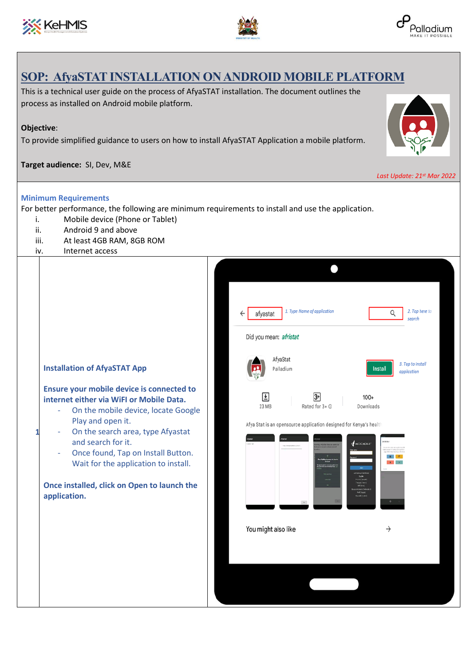





## **SOP: AfyaSTAT INSTALLATION ON ANDROID MOBILE PLATFORM**

This is a technical user guide on the process of AfyaSTAT installation. The document outlines the process as installed on Android mobile platform.

## **Objective**:

To provide simplified guidance to users on how to install AfyaSTAT Application a mobile platform.

## **Target audience:** SI, Dev, M&E



|                                                                                                                                                                                                                                                                                                                                                                                                                                   | Last Update: 21st Mar 2022                                                                                                                                                                                                                                                                                                                                       |
|-----------------------------------------------------------------------------------------------------------------------------------------------------------------------------------------------------------------------------------------------------------------------------------------------------------------------------------------------------------------------------------------------------------------------------------|------------------------------------------------------------------------------------------------------------------------------------------------------------------------------------------------------------------------------------------------------------------------------------------------------------------------------------------------------------------|
| <b>Minimum Requirements</b><br>For better performance, the following are minimum requirements to install and use the application.<br>Mobile device (Phone or Tablet)<br>i.<br>Android 9 and above<br>ii.<br>iii.<br>At least 4GB RAM, 8GB ROM<br>Internet access<br>iv.                                                                                                                                                           |                                                                                                                                                                                                                                                                                                                                                                  |
| <b>Installation of AfyaSTAT App</b><br>Ensure your mobile device is connected to<br>internet either via WiFI or Mobile Data.<br>On the mobile device, locate Google<br>Play and open it.<br>On the search area, type Afyastat<br>1<br>and search for it.<br>Once found, Tap on Install Button.<br>$\overline{\phantom{a}}$<br>Wait for the application to install.<br>Once installed, click on Open to launch the<br>application. | 1. Type Name of application<br>2. Tap here to<br>Q<br>afyastat<br>search<br>Did you mean: afristat<br>AfyaStat<br>3. Tap to install<br>Palladium<br><b>Install</b><br>application<br>ᄖ<br>$100+$<br>Rated for 3+ 0<br>23 MB<br>Downloads<br>Afya Stat is an opensource application designed for Kenya's health<br>MEDIC MOBILE"<br>٠<br>You might also like<br>→ |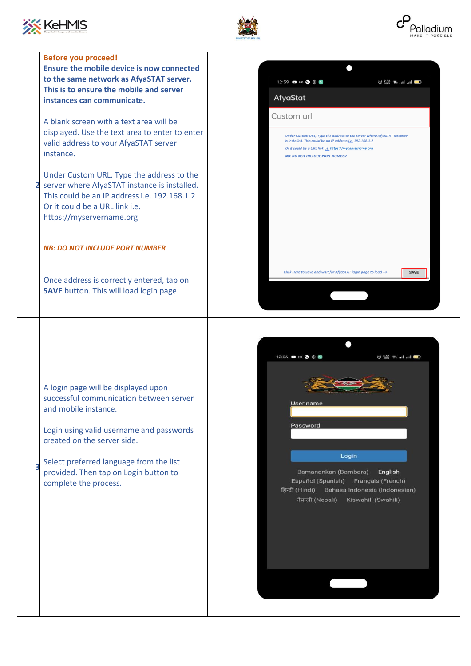